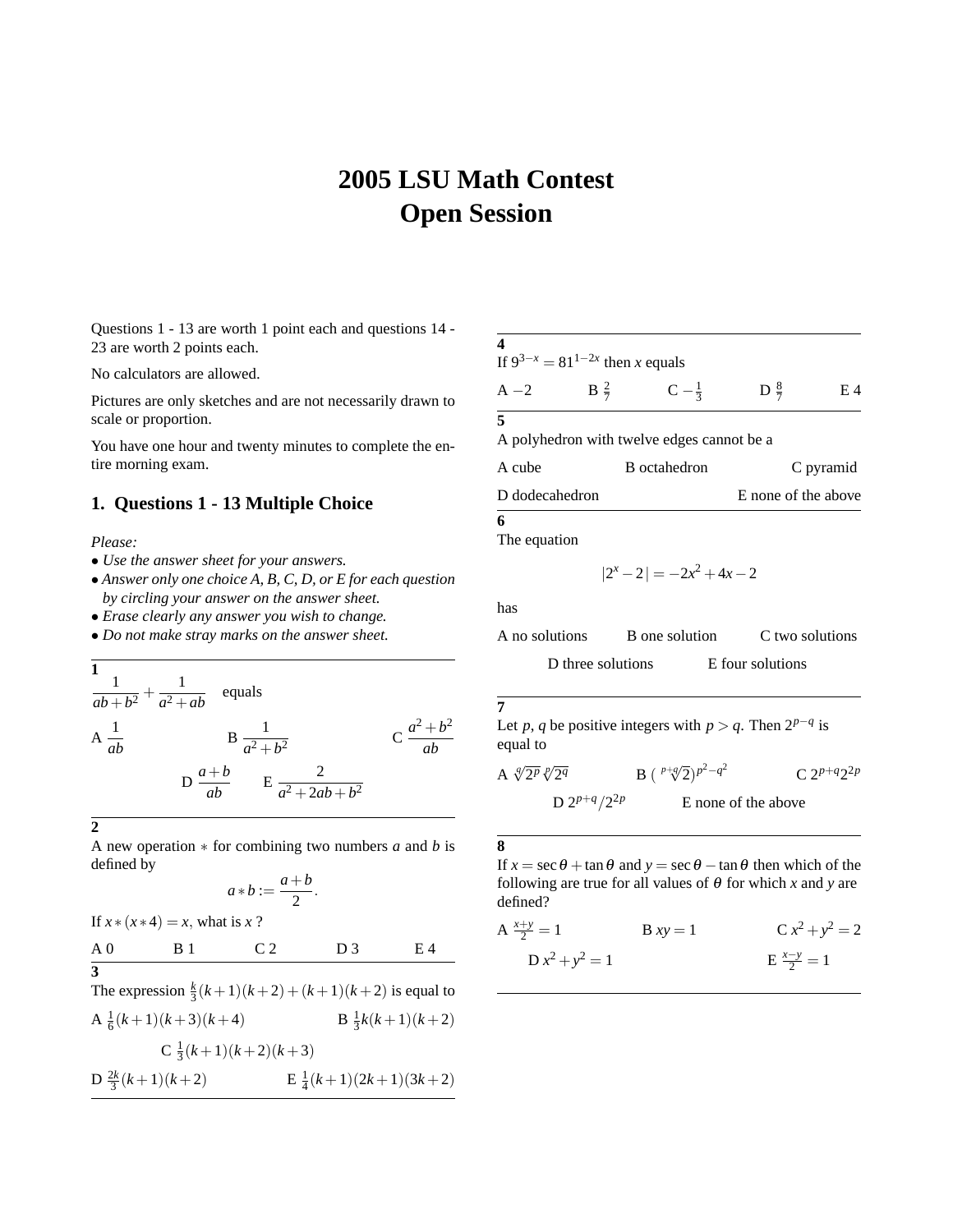# **2005 LSU Math Contest Open Session**

Questions 1 - 13 are worth 1 point each and questions 14 - 23 are worth 2 points each.

No calculators are allowed.

Pictures are only sketches and are not necessarily drawn to scale or proportion.

You have one hour and twenty minutes to complete the entire morning exam.

## **1. Questions 1 - 13 Multiple Choice**

#### *Please:*

- *Use the answer sheet for your answers.*
- *Answer only one choice A, B, C, D, or E for each question by circling your answer on the answer sheet.*
- *Erase clearly any answer you wish to change.*
- *Do not make stray marks on the answer sheet.*

$$
\frac{1}{ab+b^2} + \frac{1}{a^2+ab}
$$
 equals  
\n
$$
A \frac{1}{ab}
$$
 
$$
B \frac{1}{a^2+b^2}
$$
 
$$
C \frac{a^2+b^2}{ab}
$$
  
\n
$$
D \frac{a+b}{ab}
$$
 
$$
E \frac{2}{a^2+2ab+b^2}
$$

**2**

**3**

A new operation ∗ for combining two numbers *a* and *b* is defined by

$$
a * b := \frac{a+b}{2}.
$$

If  $x * (x * 4) = x$ , what is  $x$  ? A 0 B 1 C 2 D 3 E 4

The expression  $\frac{k}{3}(k+1)(k+2) + (k+1)(k+2)$  is equal to A  $\frac{1}{6}(k+1)(k+3)(k+4)$  B  $\frac{1}{3}k(k+1)(k+2)$  $C \frac{1}{3}(k+1)(k+2)(k+3)$  $D \frac{2k}{3}(k+1)(k+2)$   $E \frac{1}{4}(k+1)(2k+1)(3k+2)$ 

| $\overline{\mathbf{4}}$ |                                        |                                            |                     |     |
|-------------------------|----------------------------------------|--------------------------------------------|---------------------|-----|
|                         | If $9^{3-x} = 81^{1-2x}$ then x equals |                                            |                     |     |
| $A - 2$                 | $B \frac{2}{7}$                        | $C - \frac{1}{3}$                          | D $\frac{8}{7}$     | E 4 |
| 5                       |                                        |                                            |                     |     |
|                         |                                        | A polyhedron with twelve edges cannot be a |                     |     |
| A cube                  | <b>B</b> octahedron                    |                                            | C pyramid           |     |
| D dodecahedron          |                                        |                                            | E none of the above |     |
| 6                       |                                        |                                            |                     |     |
| The equation            |                                        |                                            |                     |     |

$$
|2^x - 2| = -2x^2 + 4x - 2
$$

has

A no solutions B one solution C two solutions

D three solutions E four solutions

## **7**

Let *p*, *q* be positive integers with *p* > *q*. Then  $2^{p-q}$  is equal to

A 
$$
\sqrt[q]{2^p}\sqrt[p]{2^q}
$$
 B  $\left(\sqrt[p+q]{2}\right)^{p^2-q^2}$  C  $2^{p+q}2^{2p}$   
D  $2^{p+q}/2^{2p}$  E none of the above

**8**

If  $x = \sec \theta + \tan \theta$  and  $y = \sec \theta - \tan \theta$  then which of the following are true for all values of  $\theta$  for which *x* and *y* are defined?

A 
$$
\frac{x+y}{2} = 1
$$
  
\nB  $xy = 1$   
\nC  $x^2 + y^2 = 2$   
\nD  $x^2 + y^2 = 1$   
\nE  $\frac{x-y}{2} = 1$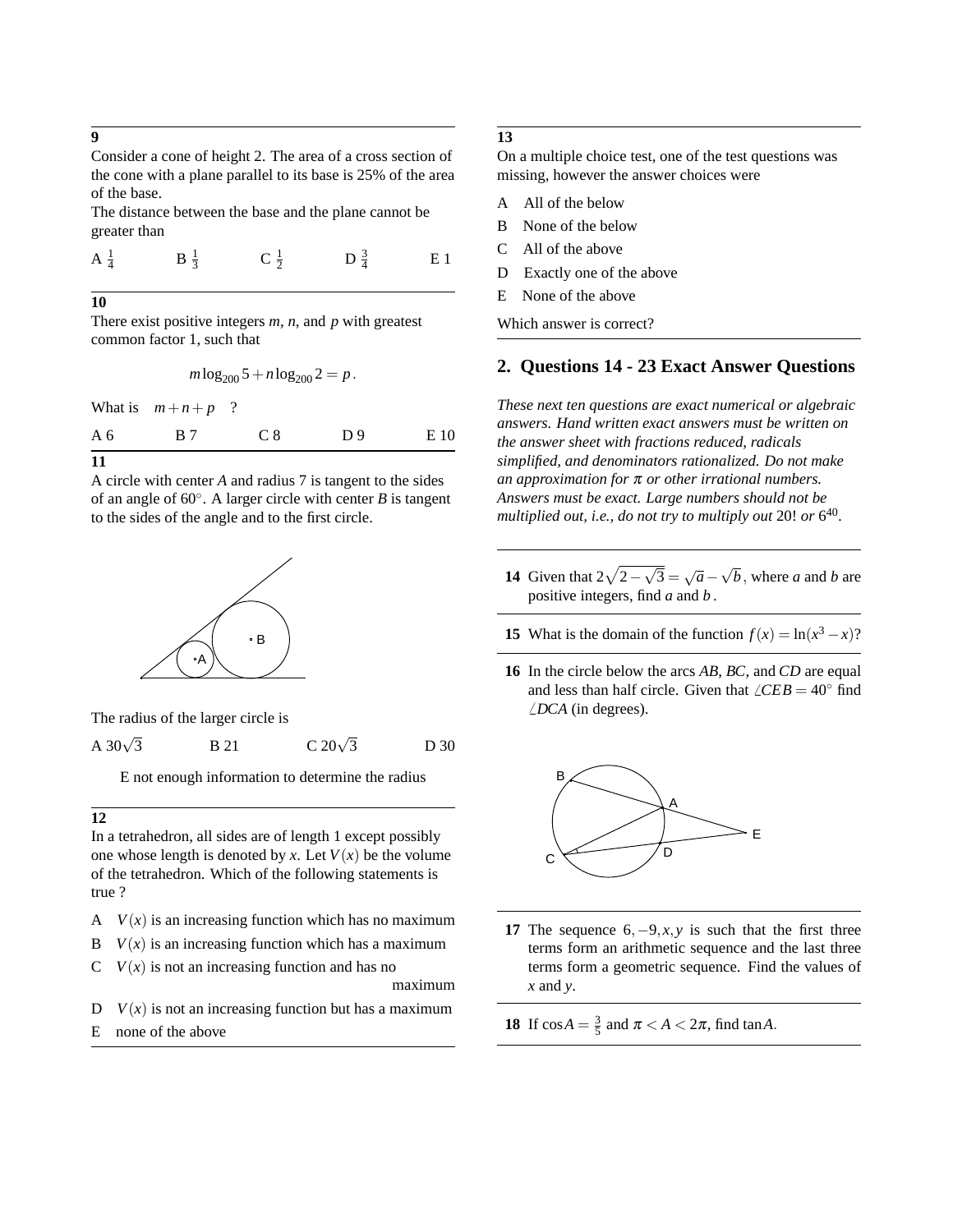**9**

Consider a cone of height 2. The area of a cross section of the cone with a plane parallel to its base is 25% of the area of the base.

The distance between the base and the plane cannot be greater than

$$
A_{\frac{1}{4}}
$$
  $B_{\frac{1}{3}}$   $C_{\frac{1}{2}}$   $D_{\frac{3}{4}}$   $E1$ 

**10**

There exist positive integers *m*, *n*, and *p* with greatest common factor 1, such that

$$
m \log_{200} 5 + n \log_{200} 2 = p.
$$

What is  $m+n+p$ ?

| A <sub>6</sub> | B 7 | C 8 | D <sub>9</sub> | E 10 |
|----------------|-----|-----|----------------|------|
| 11             |     |     |                |      |

A circle with center *A* and radius 7 is tangent to the sides of an angle of 60◦ . A larger circle with center *B* is tangent to the sides of the angle and to the first circle.



The radius of the larger circle is

A  $30\sqrt{3}$ **B** 21 C 20 $\sqrt{3}$ D 30

E not enough information to determine the radius

#### **12**

In a tetrahedron, all sides are of length 1 except possibly one whose length is denoted by *x*. Let  $V(x)$  be the volume of the tetrahedron. Which of the following statements is true ?

- A  $V(x)$  is an increasing function which has no maximum
- $V(x)$  is an increasing function which has a maximum
- $C$   $V(x)$  is not an increasing function and has no

maximum

- $D$  *V(x)* is not an increasing function but has a maximum
- E none of the above

# **13**

On a multiple choice test, one of the test questions was missing, however the answer choices were

- A All of the below
- B None of the below
- C All of the above
- D Exactly one of the above
- E None of the above

Which answer is correct?

## **2. Questions 14 - 23 Exact Answer Questions**

*These next ten questions are exact numerical or algebraic answers. Hand written exact answers must be written on the answer sheet with fractions reduced, radicals simplified, and denominators rationalized. Do not make an approximation for* π *or other irrational numbers. Answers must be exact. Large numbers should not be multiplied out, i.e., do not try to multiply out* 20! *or* 6 40 *.*

- **14** Given that  $2\sqrt{2}$  $<sub>′</sub>$ </sub>  $\overline{\overline{3}} = \sqrt{a}$ √ *b*, where *a* and *b* are positive integers, find *a* and *b* .
- **15** What is the domain of the function  $f(x) = \ln(x^3 x)$ ?
- **16** In the circle below the arcs *AB*, *BC*, and *CD* are equal and less than half circle. Given that  $\angle CEB = 40^\circ$  find  $\angle DCA$  (in degrees).



- **17** The sequence  $6, -9, x, y$  is such that the first three terms form an arithmetic sequence and the last three terms form a geometric sequence. Find the values of *x* and *y*.
- **18** If  $\cos A = \frac{3}{5}$  and  $\pi < A < 2\pi$ , find  $\tan A$ .